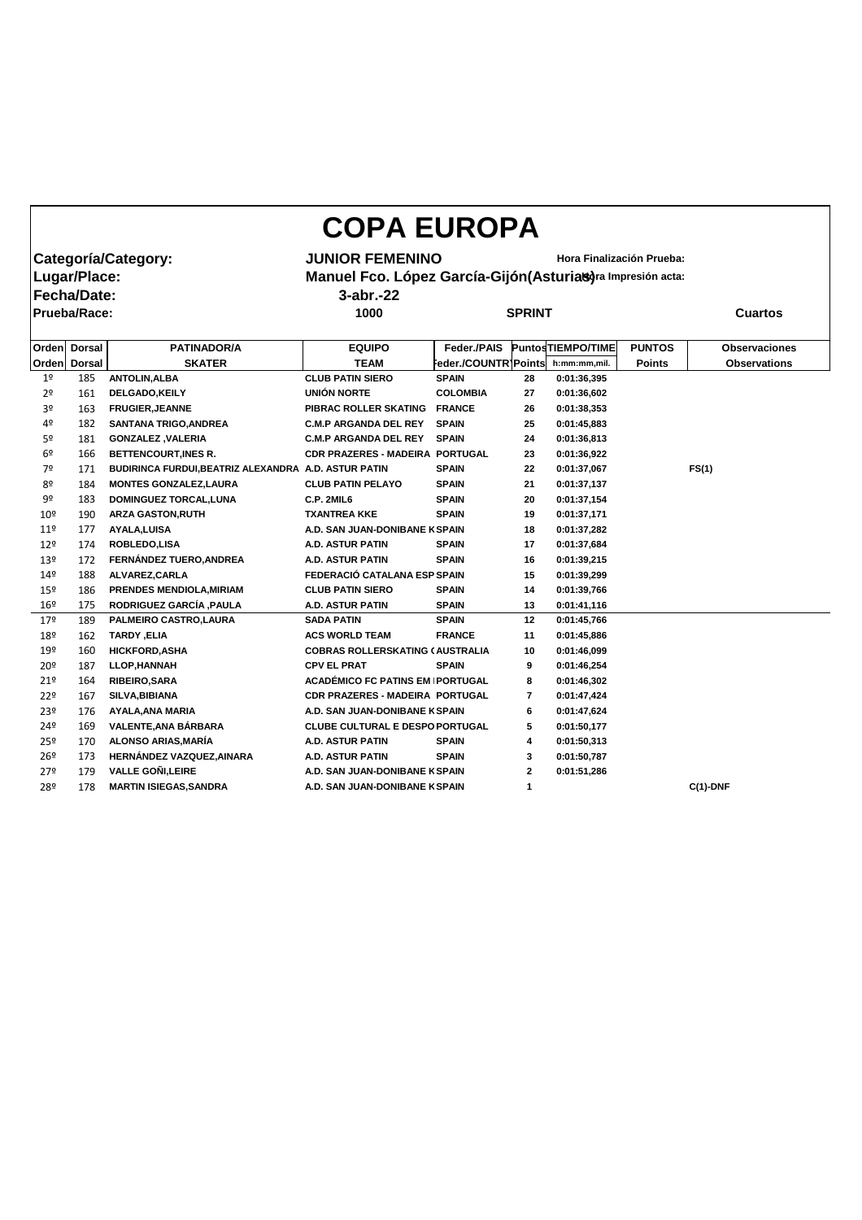| <b>COPA EUROPA</b>                                                                                |               |                                                      |                                                     |                      |               |                    |               |                      |  |  |  |  |
|---------------------------------------------------------------------------------------------------|---------------|------------------------------------------------------|-----------------------------------------------------|----------------------|---------------|--------------------|---------------|----------------------|--|--|--|--|
|                                                                                                   |               | Categoría/Category:                                  | <b>JUNIOR FEMENINO</b><br>Hora Finalización Prueba: |                      |               |                    |               |                      |  |  |  |  |
|                                                                                                   |               |                                                      |                                                     |                      |               |                    |               |                      |  |  |  |  |
| Lugar/Place:<br>Manuel Fco. López García-Gijón (Asturias)ra Impresión acta:<br><b>Fecha/Date:</b> |               |                                                      |                                                     |                      |               |                    |               |                      |  |  |  |  |
|                                                                                                   |               |                                                      | $3$ -abr $-22$                                      |                      |               |                    |               |                      |  |  |  |  |
| <b>Prueba/Race:</b>                                                                               |               |                                                      | 1000                                                |                      | <b>SPRINT</b> |                    |               | <b>Cuartos</b>       |  |  |  |  |
|                                                                                                   |               |                                                      |                                                     |                      |               |                    |               |                      |  |  |  |  |
|                                                                                                   | Orden Dorsal  | <b>PATINADOR/A</b>                                   | <b>EQUIPO</b>                                       | Feder./PAIS          |               | Puntos TIEMPO/TIME | <b>PUNTOS</b> | <b>Observaciones</b> |  |  |  |  |
| Orden                                                                                             | <b>Dorsal</b> | <b>SKATER</b>                                        | <b>TEAM</b>                                         | Feder./COUNTR]Points |               | h:mm:mm,mil.       | <b>Points</b> | <b>Observations</b>  |  |  |  |  |
| 1 <sup>o</sup>                                                                                    | 185           | <b>ANTOLIN, ALBA</b>                                 | <b>CLUB PATIN SIERO</b>                             | <b>SPAIN</b>         | 28            | 0:01:36,395        |               |                      |  |  |  |  |
| 2 <sup>o</sup>                                                                                    | 161           | <b>DELGADO,KEILY</b>                                 | <b>UNIÓN NORTE</b>                                  | <b>COLOMBIA</b>      | 27            | 0:01:36,602        |               |                      |  |  |  |  |
| 3 <sup>o</sup>                                                                                    | 163           | <b>FRUGIER, JEANNE</b>                               | PIBRAC ROLLER SKATING                               | <b>FRANCE</b>        | 26            | 0:01:38,353        |               |                      |  |  |  |  |
| 4º                                                                                                | 182           | <b>SANTANA TRIGO, ANDREA</b>                         | <b>C.M.P ARGANDA DEL REY</b>                        | <b>SPAIN</b>         | 25            | 0:01:45,883        |               |                      |  |  |  |  |
| 5º                                                                                                | 181           | <b>GONZALEZ, VALERIA</b>                             | <b>C.M.P ARGANDA DEL REY</b>                        | <b>SPAIN</b>         | 24            | 0:01:36,813        |               |                      |  |  |  |  |
| 6º                                                                                                | 166           | <b>BETTENCOURT, INES R.</b>                          | <b>CDR PRAZERES - MADEIRA PORTUGAL</b>              |                      | 23            | 0:01:36,922        |               |                      |  |  |  |  |
| 7º                                                                                                | 171           | BUDIRINCA FURDUI, BEATRIZ ALEXANDRA A.D. ASTUR PATIN |                                                     | <b>SPAIN</b>         | 22            | 0:01:37,067        |               | FS(1)                |  |  |  |  |
| 8º                                                                                                | 184           | <b>MONTES GONZALEZ, LAURA</b>                        | <b>CLUB PATIN PELAYO</b>                            | <b>SPAIN</b>         | 21            | 0:01:37,137        |               |                      |  |  |  |  |
| 9º                                                                                                | 183           | <b>DOMINGUEZ TORCAL, LUNA</b>                        | <b>C.P. 2MIL6</b>                                   | <b>SPAIN</b>         | 20            | 0:01:37,154        |               |                      |  |  |  |  |
| 10 <sup>°</sup>                                                                                   | 190           | <b>ARZA GASTON, RUTH</b>                             | <b>TXANTREA KKE</b>                                 | <b>SPAIN</b>         | 19            | 0:01:37,171        |               |                      |  |  |  |  |
| 11 <sup>°</sup>                                                                                   | 177           | <b>AYALA, LUISA</b>                                  | A.D. SAN JUAN-DONIBANE K SPAIN                      |                      | 18            | 0:01:37,282        |               |                      |  |  |  |  |
| $12^{\circ}$                                                                                      | 174           | ROBLEDO,LISA                                         | <b>A.D. ASTUR PATIN</b>                             | <b>SPAIN</b>         | 17            | 0:01:37,684        |               |                      |  |  |  |  |
| 13º                                                                                               | 172           | FERNÁNDEZ TUERO, ANDREA                              | <b>A.D. ASTUR PATIN</b>                             | <b>SPAIN</b>         | 16            | 0:01:39,215        |               |                      |  |  |  |  |
| 14 <sup>°</sup>                                                                                   | 188           | ALVAREZ, CARLA                                       | FEDERACIÓ CATALANA ESP SPAIN                        |                      | 15            | 0:01:39,299        |               |                      |  |  |  |  |
| 15 <sup>°</sup>                                                                                   | 186           | PRENDES MENDIOLA, MIRIAM                             | <b>CLUB PATIN SIERO</b>                             | <b>SPAIN</b>         | 14            | 0:01:39,766        |               |                      |  |  |  |  |
| 16 <sup>°</sup>                                                                                   | 175           | RODRIGUEZ GARCÍA , PAULA                             | <b>A.D. ASTUR PATIN</b>                             | <b>SPAIN</b>         | 13            | 0:01:41,116        |               |                      |  |  |  |  |
| 179                                                                                               | 189           | PALMEIRO CASTRO, LAURA                               | <b>SADA PATIN</b>                                   | <b>SPAIN</b>         | 12            | 0:01:45,766        |               |                      |  |  |  |  |
| 18º                                                                                               | 162           | TARDY, ELIA                                          | <b>ACS WORLD TEAM</b>                               | <b>FRANCE</b>        | 11            | 0:01:45,886        |               |                      |  |  |  |  |
| 19º                                                                                               | 160           | <b>HICKFORD, ASHA</b>                                | <b>COBRAS ROLLERSKATING (AUSTRALIA</b>              |                      | 10            | 0:01:46,099        |               |                      |  |  |  |  |
| 20º                                                                                               | 187           | <b>LLOP, HANNAH</b>                                  | <b>CPV EL PRAT</b>                                  | <b>SPAIN</b>         | 9             | 0:01:46,254        |               |                      |  |  |  |  |
| 21°                                                                                               | 164           | <b>RIBEIRO, SARA</b>                                 | <b>ACADÉMICO FC PATINS EM PORTUGAL</b>              |                      | 8             | 0:01:46,302        |               |                      |  |  |  |  |
| 22 <sup>°</sup>                                                                                   | 167           | SILVA, BIBIANA                                       | <b>CDR PRAZERES - MADEIRA PORTUGAL</b>              |                      | 7             | 0:01:47,424        |               |                      |  |  |  |  |
| 23º                                                                                               | 176           | <b>AYALA, ANA MARIA</b>                              | A.D. SAN JUAN-DONIBANE K SPAIN                      |                      | 6             | 0:01:47,624        |               |                      |  |  |  |  |
| 24º                                                                                               | 169           | VALENTE, ANA BÁRBARA                                 | <b>CLUBE CULTURAL E DESPO PORTUGAL</b>              |                      | 5             | 0:01:50,177        |               |                      |  |  |  |  |
| 25º                                                                                               | 170           | <b>ALONSO ARIAS, MARÍA</b>                           | A.D. ASTUR PATIN                                    | <b>SPAIN</b>         | 4             | 0:01:50,313        |               |                      |  |  |  |  |
| 26 <sup>°</sup>                                                                                   | 173           | HERNÁNDEZ VAZQUEZ, AINARA                            | A.D. ASTUR PATIN                                    | <b>SPAIN</b>         | 3             | 0:01:50,787        |               |                      |  |  |  |  |
| 27 <sup>°</sup>                                                                                   | 179           | <b>VALLE GOÑI, LEIRE</b>                             | A.D. SAN JUAN-DONIBANE K SPAIN                      |                      | $\mathbf{2}$  | 0:01:51,286        |               |                      |  |  |  |  |
| 28º                                                                                               | 178           | <b>MARTIN ISIEGAS, SANDRA</b>                        | A.D. SAN JUAN-DONIBANE K SPAIN                      |                      | 1             |                    |               | $C(1)$ -DNF          |  |  |  |  |